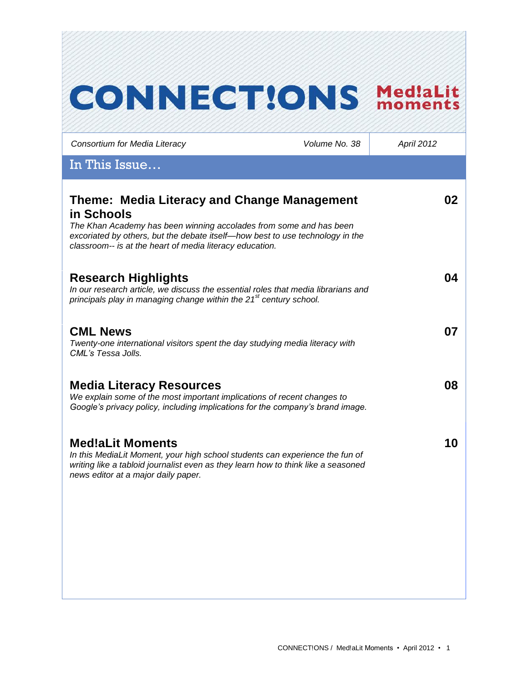# **CONNECT!ONS Med!aLit** *Consortium for Media Literacy Volume No. 38 April 2012* In This Issue… **Theme: Media Literacy and Change Management 02 in Schools** *The Khan Academy has been winning accolades from some and has been excoriated by others, but the debate itself—how best to use technology in the classroom-- is at the heart of media literacy education.*  **Research Highlights 04** *In our research article, we discuss the essential roles that media librarians and principals play in managing change within the 21st century school.*  **CML News 07** *Twenty-one international visitors spent the day studying media literacy with CML's Tessa Jolls.* **Media Literacy Resources 08** *We explain some of the most important implications of recent changes to Google's privacy policy, including implications for the company's brand image.*  **Med!aLit Moments 10***In this MediaLit Moment, your high school students can experience the fun of writing like a tabloid journalist even as they learn how to think like a seasoned news editor at a major daily paper.*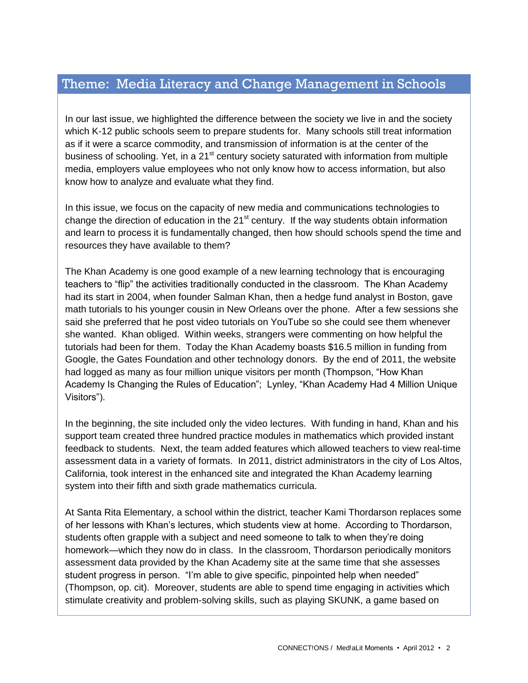### Theme: Media Literacy and Change Management in Schools

In our last issue, we highlighted the difference between the society we live in and the society which K-12 public schools seem to prepare students for. Many schools still treat information as if it were a scarce commodity, and transmission of information is at the center of the business of schooling. Yet, in a 21<sup>st</sup> century society saturated with information from multiple media, employers value employees who not only know how to access information, but also know how to analyze and evaluate what they find.

In this issue, we focus on the capacity of new media and communications technologies to change the direction of education in the  $21<sup>st</sup>$  century. If the way students obtain information and learn to process it is fundamentally changed, then how should schools spend the time and resources they have available to them?

The Khan Academy is one good example of a new learning technology that is encouraging teachers to "flip" the activities traditionally conducted in the classroom. The Khan Academy had its start in 2004, when founder Salman Khan, then a hedge fund analyst in Boston, gave math tutorials to his younger cousin in New Orleans over the phone. After a few sessions she said she preferred that he post video tutorials on YouTube so she could see them whenever she wanted. Khan obliged. Within weeks, strangers were commenting on how helpful the tutorials had been for them. Today the Khan Academy boasts \$16.5 million in funding from Google, the Gates Foundation and other technology donors. By the end of 2011, the website had logged as many as four million unique visitors per month (Thompson, "How Khan Academy Is Changing the Rules of Education"; Lynley, "Khan Academy Had 4 Million Unique Visitors").

In the beginning, the site included only the video lectures. With funding in hand, Khan and his support team created three hundred practice modules in mathematics which provided instant feedback to students. Next, the team added features which allowed teachers to view real-time assessment data in a variety of formats. In 2011, district administrators in the city of Los Altos, California, took interest in the enhanced site and integrated the Khan Academy learning system into their fifth and sixth grade mathematics curricula.

At Santa Rita Elementary, a school within the district, teacher Kami Thordarson replaces some of her lessons with Khan's lectures, which students view at home. According to Thordarson, students often grapple with a subject and need someone to talk to when they're doing homework—which they now do in class. In the classroom, Thordarson periodically monitors assessment data provided by the Khan Academy site at the same time that she assesses student progress in person. "I'm able to give specific, pinpointed help when needed" (Thompson, op. cit). Moreover, students are able to spend time engaging in activities which stimulate creativity and problem-solving skills, such as playing SKUNK, a game based on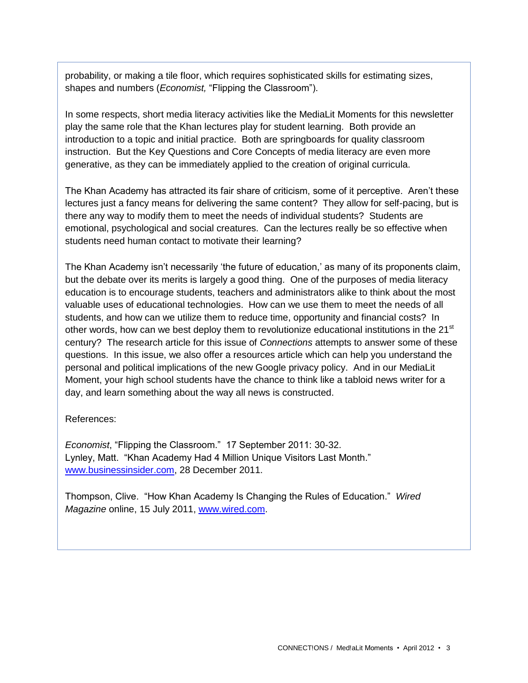probability, or making a tile floor, which requires sophisticated skills for estimating sizes, shapes and numbers (*Economist,* "Flipping the Classroom").

In some respects, short media literacy activities like the MediaLit Moments for this newsletter play the same role that the Khan lectures play for student learning. Both provide an introduction to a topic and initial practice. Both are springboards for quality classroom instruction. But the Key Questions and Core Concepts of media literacy are even more generative, as they can be immediately applied to the creation of original curricula.

The Khan Academy has attracted its fair share of criticism, some of it perceptive. Aren't these lectures just a fancy means for delivering the same content? They allow for self-pacing, but is there any way to modify them to meet the needs of individual students? Students are emotional, psychological and social creatures. Can the lectures really be so effective when students need human contact to motivate their learning?

The Khan Academy isn't necessarily 'the future of education,' as many of its proponents claim, but the debate over its merits is largely a good thing. One of the purposes of media literacy education is to encourage students, teachers and administrators alike to think about the most valuable uses of educational technologies. How can we use them to meet the needs of all students, and how can we utilize them to reduce time, opportunity and financial costs? In other words, how can we best deploy them to revolutionize educational institutions in the  $21<sup>st</sup>$ century? The research article for this issue of *Connections* attempts to answer some of these questions. In this issue, we also offer a resources article which can help you understand the personal and political implications of the new Google privacy policy. And in our MediaLit Moment, your high school students have the chance to think like a tabloid news writer for a day, and learn something about the way all news is constructed.

#### References:

*Economist*, "Flipping the Classroom." 17 September 2011: 30-32. Lynley, Matt. "Khan Academy Had 4 Million Unique Visitors Last Month." [www.businessinsider.com,](http://www.businessinsider.com/) 28 December 2011.

Thompson, Clive. "How Khan Academy Is Changing the Rules of Education." *Wired Magazine* online, 15 July 2011, [www.wired.com.](http://www.wired.com/)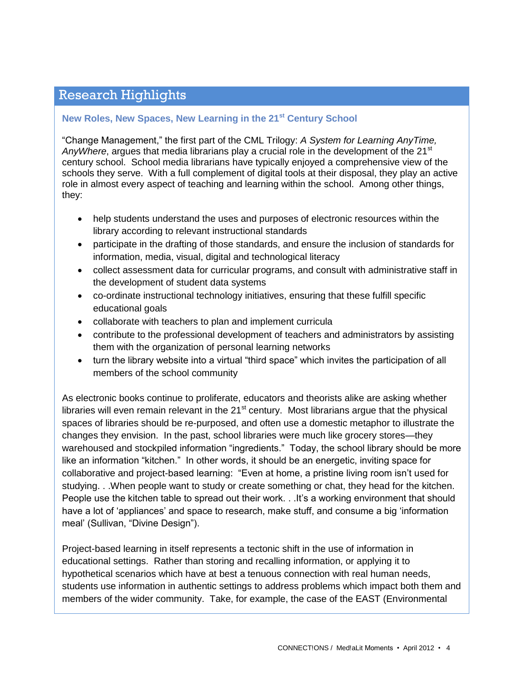## Research Highlights

#### **New Roles, New Spaces, New Learning in the 21st Century School**

"Change Management," the first part of the CML Trilogy: *A System for Learning AnyTime, AnyWhere*, argues that media librarians play a crucial role in the development of the 21<sup>st</sup> century school. School media librarians have typically enjoyed a comprehensive view of the schools they serve. With a full complement of digital tools at their disposal, they play an active role in almost every aspect of teaching and learning within the school. Among other things, they:

- help students understand the uses and purposes of electronic resources within the library according to relevant instructional standards
- participate in the drafting of those standards, and ensure the inclusion of standards for information, media, visual, digital and technological literacy
- collect assessment data for curricular programs, and consult with administrative staff in the development of student data systems
- co-ordinate instructional technology initiatives, ensuring that these fulfill specific educational goals
- collaborate with teachers to plan and implement curricula
- contribute to the professional development of teachers and administrators by assisting them with the organization of personal learning networks
- turn the library website into a virtual "third space" which invites the participation of all members of the school community

As electronic books continue to proliferate, educators and theorists alike are asking whether libraries will even remain relevant in the  $21<sup>st</sup>$  century. Most librarians argue that the physical spaces of libraries should be re-purposed, and often use a domestic metaphor to illustrate the changes they envision. In the past, school libraries were much like grocery stores—they warehoused and stockpiled information "ingredients." Today, the school library should be more like an information "kitchen." In other words, it should be an energetic, inviting space for collaborative and project-based learning: "Even at home, a pristine living room isn't used for studying. . .When people want to study or create something or chat, they head for the kitchen. People use the kitchen table to spread out their work. . . It's a working environment that should have a lot of 'appliances' and space to research, make stuff, and consume a big 'information meal' (Sullivan, "Divine Design").

Project-based learning in itself represents a tectonic shift in the use of information in educational settings. Rather than storing and recalling information, or applying it to hypothetical scenarios which have at best a tenuous connection with real human needs, students use information in authentic settings to address problems which impact both them and members of the wider community. Take, for example, the case of the EAST (Environmental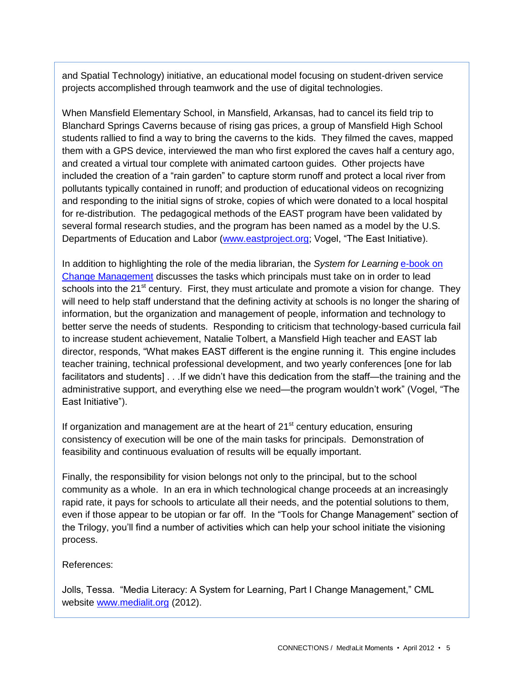and Spatial Technology) initiative, an educational model focusing on student-driven service projects accomplished through teamwork and the use of digital technologies.

When Mansfield Elementary School, in Mansfield, Arkansas, had to cancel its field trip to Blanchard Springs Caverns because of rising gas prices, a group of Mansfield High School students rallied to find a way to bring the caverns to the kids. They filmed the caves, mapped them with a GPS device, interviewed the man who first explored the caves half a century ago, and created a virtual tour complete with animated cartoon guides. Other projects have included the creation of a "rain garden" to capture storm runoff and protect a local river from pollutants typically contained in runoff; and production of educational videos on recognizing and responding to the initial signs of stroke, copies of which were donated to a local hospital for re-distribution. The pedagogical methods of the EAST program have been validated by several formal research studies, and the program has been named as a model by the U.S. Departments of Education and Labor [\(www.eastproject.org;](http://www.eastproject.org/) Vogel, "The East Initiative).

In addition to highlighting the role of the media librarian, the *System for Learning* [e-book on](http://www.medialit.org/reading-room/media-literacy-system-learning-anytime-anywhere)  [Change Management](http://www.medialit.org/reading-room/media-literacy-system-learning-anytime-anywhere) discusses the tasks which principals must take on in order to lead schools into the 21<sup>st</sup> century. First, they must articulate and promote a vision for change. They will need to help staff understand that the defining activity at schools is no longer the sharing of information, but the organization and management of people, information and technology to better serve the needs of students. Responding to criticism that technology-based curricula fail to increase student achievement, Natalie Tolbert, a Mansfield High teacher and EAST lab director, responds, "What makes EAST different is the engine running it. This engine includes teacher training, technical professional development, and two yearly conferences [one for lab facilitators and students] . . .If we didn't have this dedication from the staff—the training and the administrative support, and everything else we need—the program wouldn't work" (Vogel, "The East Initiative").

If organization and management are at the heart of  $21<sup>st</sup>$  century education, ensuring consistency of execution will be one of the main tasks for principals. Demonstration of feasibility and continuous evaluation of results will be equally important.

Finally, the responsibility for vision belongs not only to the principal, but to the school community as a whole. In an era in which technological change proceeds at an increasingly rapid rate, it pays for schools to articulate all their needs, and the potential solutions to them, even if those appear to be utopian or far off. In the "Tools for Change Management" section of the Trilogy, you'll find a number of activities which can help your school initiate the visioning process.

References:

Jolls, Tessa. "Media Literacy: A System for Learning, Part I Change Management," CML website [www.medialit.org](http://www.medialit.org/) (2012).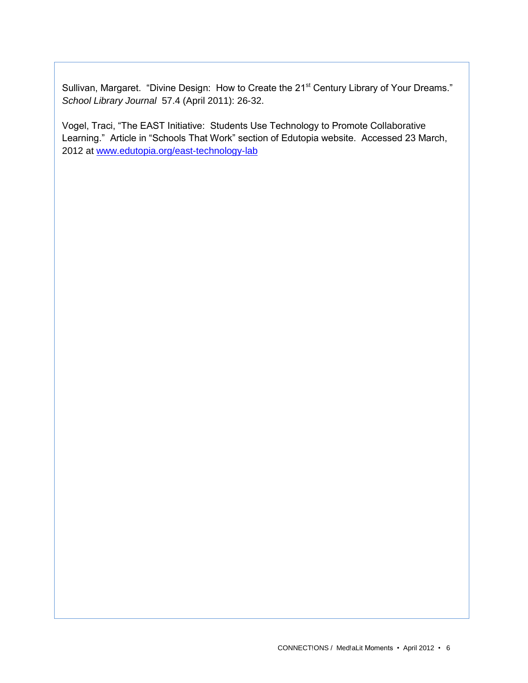Sullivan, Margaret. "Divine Design: How to Create the 21<sup>st</sup> Century Library of Your Dreams." *School Library Journal* 57.4 (April 2011): 26-32.

Vogel, Traci, "The EAST Initiative: Students Use Technology to Promote Collaborative Learning." Article in "Schools That Work" section of Edutopia website. Accessed 23 March, 2012 at [www.edutopia.org/east-technology-lab](http://www.edutopia.org/east-technology-lab)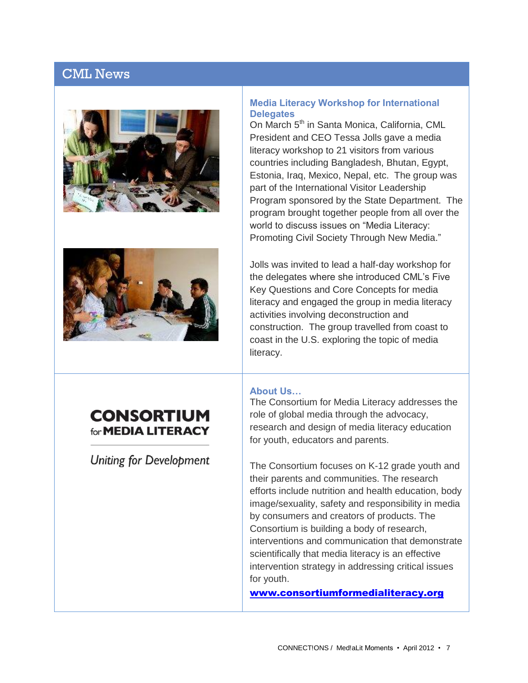### CML News





# **CONSORTIUM** for **MEDIA LITERACY**

**Uniting for Development** 

#### **Media Literacy Workshop for International Delegates**

On March 5<sup>th</sup> in Santa Monica, California, CML President and CEO Tessa Jolls gave a media literacy workshop to 21 visitors from various countries including Bangladesh, Bhutan, Egypt, Estonia, Iraq, Mexico, Nepal, etc. The group was part of the International Visitor Leadership Program sponsored by the State Department. The program brought together people from all over the world to discuss issues on "Media Literacy: Promoting Civil Society Through New Media."

Jolls was invited to lead a half-day workshop for the delegates where she introduced CML's Five Key Questions and Core Concepts for media literacy and engaged the group in media literacy activities involving deconstruction and construction. The group travelled from coast to coast in the U.S. exploring the topic of media literacy.

#### **About Us…**

The Consortium for Media Literacy addresses the role of global media through the advocacy, research and design of media literacy education for youth, educators and parents.

The Consortium focuses on K-12 grade youth and their parents and communities. The research efforts include nutrition and health education, body image/sexuality, safety and responsibility in media by consumers and creators of products. The Consortium is building a body of research, interventions and communication that demonstrate scientifically that media literacy is an effective intervention strategy in addressing critical issues for youth.

[www.consortiumformedialiteracy.org](http://www.consortiumformedialiteracy.org/)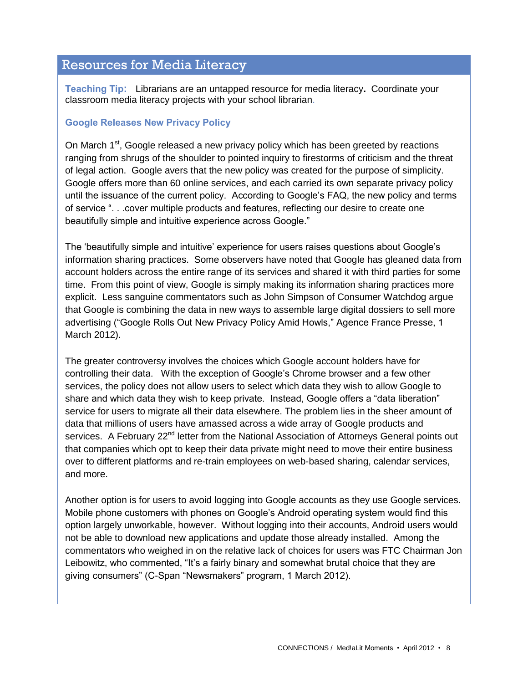### Resources for Media Literacy

**Teaching Tip:** Librarians are an untapped resource for media literacy**.** Coordinate your classroom media literacy projects with your school librarian.

### **Google Releases New Privacy Policy**

On March  $1^{st}$ , Google released a new privacy policy which has been greeted by reactions ranging from shrugs of the shoulder to pointed inquiry to firestorms of criticism and the threat of legal action. Google avers that the new policy was created for the purpose of simplicity. Google offers more than 60 online services, and each carried its own separate privacy policy until the issuance of the current policy. According to Google's FAQ, the new policy and terms of service ". . .cover multiple products and features, reflecting our desire to create one beautifully simple and intuitive experience across Google."

The 'beautifully simple and intuitive' experience for users raises questions about Google's information sharing practices. Some observers have noted that Google has gleaned data from account holders across the entire range of its services and shared it with third parties for some time. From this point of view, Google is simply making its information sharing practices more explicit. Less sanguine commentators such as John Simpson of Consumer Watchdog argue that Google is combining the data in new ways to assemble large digital dossiers to sell more advertising ("Google Rolls Out New Privacy Policy Amid Howls," Agence France Presse, 1 March 2012).

The greater controversy involves the choices which Google account holders have for controlling their data. With the exception of Google's Chrome browser and a few other services, the policy does not allow users to select which data they wish to allow Google to share and which data they wish to keep private. Instead, Google offers a "data liberation" service for users to migrate all their data elsewhere. The problem lies in the sheer amount of data that millions of users have amassed across a wide array of Google products and services. A February 22<sup>nd</sup> letter from the National Association of Attorneys General points out that companies which opt to keep their data private might need to move their entire business over to different platforms and re-train employees on web-based sharing, calendar services, and more.

Another option is for users to avoid logging into Google accounts as they use Google services. Mobile phone customers with phones on Google's Android operating system would find this option largely unworkable, however. Without logging into their accounts, Android users would not be able to download new applications and update those already installed. Among the commentators who weighed in on the relative lack of choices for users was FTC Chairman Jon Leibowitz, who commented, "It's a fairly binary and somewhat brutal choice that they are giving consumers" (C-Span "Newsmakers" program, 1 March 2012).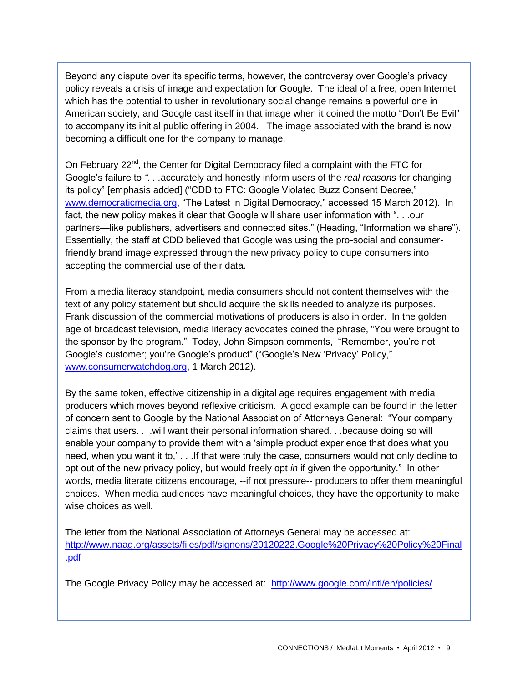Beyond any dispute over its specific terms, however, the controversy over Google's privacy policy reveals a crisis of image and expectation for Google. The ideal of a free, open Internet which has the potential to usher in revolutionary social change remains a powerful one in American society, and Google cast itself in that image when it coined the motto "Don't Be Evil" to accompany its initial public offering in 2004. The image associated with the brand is now becoming a difficult one for the company to manage.

On February  $22^{nd}$ , the Center for Digital Democracy filed a complaint with the FTC for Google's failure to *". . .*accurately and honestly inform users of the *real reasons* for changing its policy" [emphasis added] ("CDD to FTC: Google Violated Buzz Consent Decree," [www.democraticmedia.org,](http://www.democraticmedia.org/) "The Latest in Digital Democracy," accessed 15 March 2012). In fact, the new policy makes it clear that Google will share user information with ". . .our partners—like publishers, advertisers and connected sites." (Heading, "Information we share"). Essentially, the staff at CDD believed that Google was using the pro-social and consumerfriendly brand image expressed through the new privacy policy to dupe consumers into accepting the commercial use of their data.

From a media literacy standpoint, media consumers should not content themselves with the text of any policy statement but should acquire the skills needed to analyze its purposes. Frank discussion of the commercial motivations of producers is also in order. In the golden age of broadcast television, media literacy advocates coined the phrase, "You were brought to the sponsor by the program." Today, John Simpson comments, "Remember, you're not Google's customer; you're Google's product" ("Google's New 'Privacy' Policy," [www.consumerwatchdog.org,](http://www.consumerwatchdog.org/) 1 March 2012).

By the same token, effective citizenship in a digital age requires engagement with media producers which moves beyond reflexive criticism. A good example can be found in the letter of concern sent to Google by the National Association of Attorneys General: "Your company claims that users. . .will want their personal information shared. . .because doing so will enable your company to provide them with a 'simple product experience that does what you need, when you want it to,' . . .If that were truly the case, consumers would not only decline to opt out of the new privacy policy, but would freely opt *in* if given the opportunity." In other words, media literate citizens encourage, --if not pressure-- producers to offer them meaningful choices. When media audiences have meaningful choices, they have the opportunity to make wise choices as well.

The letter from the National Association of Attorneys General may be accessed at: [http://www.naag.org/assets/files/pdf/signons/20120222.Google%20Privacy%20Policy%20Final](http://www.naag.org/assets/files/pdf/signons/20120222.Google%20Privacy%20Policy%20Final.pdf) [.pdf](http://www.naag.org/assets/files/pdf/signons/20120222.Google%20Privacy%20Policy%20Final.pdf)

The Google Privacy Policy may be accessed at: <http://www.google.com/intl/en/policies/>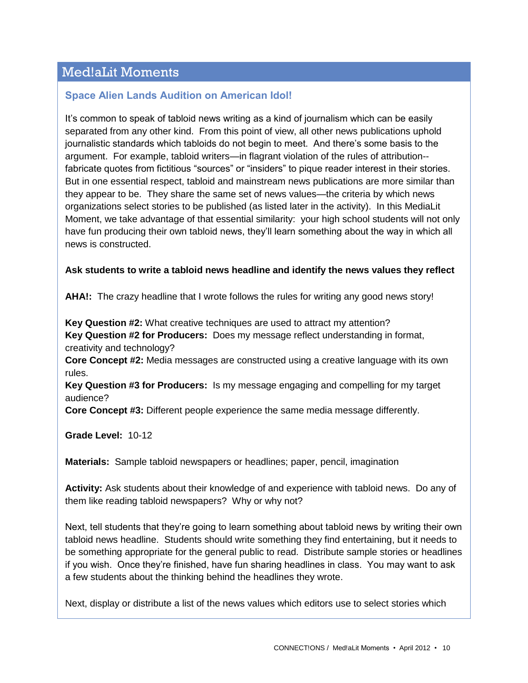### Med!aLit Moments

### **Space Alien Lands Audition on American Idol!**

It's common to speak of tabloid news writing as a kind of journalism which can be easily separated from any other kind. From this point of view, all other news publications uphold journalistic standards which tabloids do not begin to meet. And there's some basis to the argument. For example, tabloid writers—in flagrant violation of the rules of attribution- fabricate quotes from fictitious "sources" or "insiders" to pique reader interest in their stories. But in one essential respect, tabloid and mainstream news publications are more similar than they appear to be. They share the same set of news values—the criteria by which news organizations select stories to be published (as listed later in the activity). In this MediaLit Moment, we take advantage of that essential similarity: your high school students will not only have fun producing their own tabloid news, they'll learn something about the way in which all news is constructed.

#### **Ask students to write a tabloid news headline and identify the news values they reflect**

**AHA!:** The crazy headline that I wrote follows the rules for writing any good news story!

**Key Question #2:** What creative techniques are used to attract my attention? **Key Question #2 for Producers:** Does my message reflect understanding in format, creativity and technology?

**Core Concept #2:** Media messages are constructed using a creative language with its own rules.

**Key Question #3 for Producers:** Is my message engaging and compelling for my target audience?

**Core Concept #3:** Different people experience the same media message differently.

**Grade Level:** 10-12

**Materials:** Sample tabloid newspapers or headlines; paper, pencil, imagination

**Activity:** Ask students about their knowledge of and experience with tabloid news. Do any of them like reading tabloid newspapers? Why or why not?

Next, tell students that they're going to learn something about tabloid news by writing their own tabloid news headline. Students should write something they find entertaining, but it needs to be something appropriate for the general public to read. Distribute sample stories or headlines if you wish. Once they're finished, have fun sharing headlines in class. You may want to ask a few students about the thinking behind the headlines they wrote.

Next, display or distribute a list of the news values which editors use to select stories which